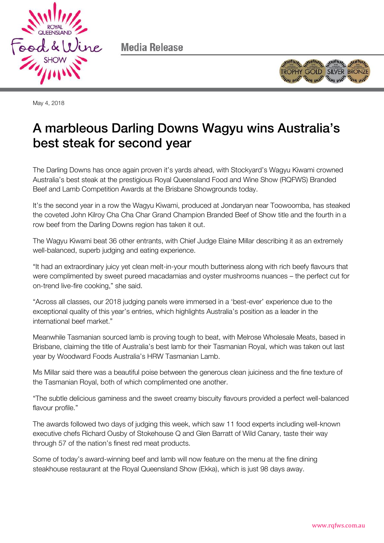

Media Release



May 4, 2018

# A marbleous Darling Downs Wagyu wins Australia's best steak for second year

The Darling Downs has once again proven it's yards ahead, with Stockyard's Wagyu Kiwami crowned Australia's best steak at the prestigious Royal Queensland Food and Wine Show (RQFWS) Branded Beef and Lamb Competition Awards at the Brisbane Showgrounds today.

It's the second year in a row the Wagyu Kiwami, produced at Jondaryan near Toowoomba, has steaked the coveted John Kilroy Cha Cha Char Grand Champion Branded Beef of Show title and the fourth in a row beef from the Darling Downs region has taken it out.

The Wagyu Kiwami beat 36 other entrants, with Chief Judge Elaine Millar describing it as an extremely well-balanced, superb judging and eating experience.

"It had an extraordinary juicy yet clean melt-in-your mouth butteriness along with rich beefy flavours that were complimented by sweet pureed macadamias and oyster mushrooms nuances – the perfect cut for on-trend live-fire cooking," she said.

"Across all classes, our 2018 judging panels were immersed in a 'best-ever' experience due to the exceptional quality of this year's entries, which highlights Australia's position as a leader in the international beef market."

Meanwhile Tasmanian sourced lamb is proving tough to beat, with Melrose Wholesale Meats, based in Brisbane, claiming the title of Australia's best lamb for their Tasmanian Royal, which was taken out last year by Woodward Foods Australia's HRW Tasmanian Lamb.

Ms Millar said there was a beautiful poise between the generous clean juiciness and the fine texture of the Tasmanian Royal, both of which complimented one another.

"The subtle delicious gaminess and the sweet creamy biscuity flavours provided a perfect well-balanced flavour profile."

The awards followed two days of judging this week, which saw 11 food experts including well-known executive chefs Richard Ousby of Stokehouse Q and Glen Barratt of Wild Canary, taste their way through 57 of the nation's finest red meat products.

Some of today's award-winning beef and lamb will now feature on the menu at the fine dining steakhouse restaurant at the Royal Queensland Show (Ekka), which is just 98 days away.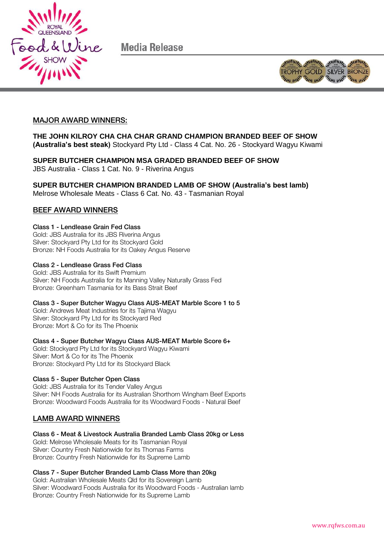

Media Release



### MAJOR AWARD WINNERS:

**THE JOHN KILROY CHA CHA CHAR GRAND CHAMPION BRANDED BEEF OF SHOW (Australia's best steak)** Stockyard Pty Ltd - Class 4 Cat. No. 26 - Stockyard Wagyu Kiwami

**SUPER BUTCHER CHAMPION MSA GRADED BRANDED BEEF OF SHOW** JBS Australia - Class 1 Cat. No. 9 - Riverina Angus

**SUPER BUTCHER CHAMPION BRANDED LAMB OF SHOW (Australia's best lamb)** Melrose Wholesale Meats - Class 6 Cat. No. 43 - Tasmanian Royal

### **BEEF AWARD WINNERS** BEEF AWARD WINNERS WINNERS

Gold: JBS Australia for its JBS Riverina Angus Silver: Stockyard Pty Ltd for its Stockyard Gold Bronze: NH Foods Australia for its Oakey Angus Reserve

Gold: JBS Australia for its Swift Premium Silver: NH Foods Australia for its Manning Valley Naturally Grass Fed Bronze: Greenham Tasmania for its Bass Strait Beef

Cold: Andrews Meat Industries for its Tajima Wagyu Silver: Stockyard Pty Ltd for its Stockyard Red Bronze: Mort & Co for its The Phoenix

Class 4 - Super Butcher Wagyu Class AUS-MEAT Marble Score 6+ Gold: Stockyard Pty Ltd for its Stockyard Wagyu Kiwami Silver: Mort & Co for its The Phoenix Bronze: Stockyard Pty Ltd for its Stockyard Black

Class 5 - Super Butcher Open Class Gold: JBS Australia for its Tender Valley Angus Silver: NH Foods Australia for its Australian Shorthorn Wingham Beef Exports Bronze: Woodward Foods Australia for its Woodward Foods - Natural Beef

### LAMB AWARD WINNERS

Class 6 - Meat & Livestock Australia Branded Lamb Class 20kg or Less Gold: Melrose Wholesale Meats for its Tasmanian Royal Silver: Country Fresh Nationwide for its Thomas Farms Bronze: Country Fresh Nationwide for its Supreme Lamb

Gold: Australian Wholesale Meats Qld for its Sovereign Lamb Silver: Woodward Foods Australia for its Woodward Foods - Australian lamb Bronze: Country Fresh Nationwide for its Supreme Lamb